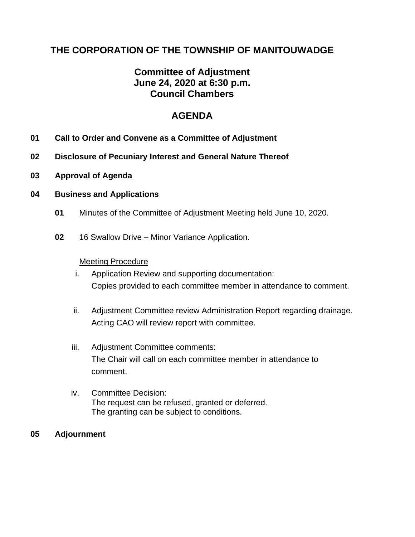# **THE CORPORATION OF THE TOWNSHIP OF MANITOUWADGE**

# **Committee of Adjustment June 24, 2020 at 6:30 p.m. Council Chambers**

# **AGENDA**

- **01 Call to Order and Convene as a Committee of Adjustment**
- **02 Disclosure of Pecuniary Interest and General Nature Thereof**
- **03 Approval of Agenda**
- **04 Business and Applications**
	- **01** Minutes of the Committee of Adjustment Meeting held June 10, 2020.
	- **02** 16 Swallow Drive Minor Variance Application.

#### Meeting Procedure

- i. Application Review and supporting documentation: Copies provided to each committee member in attendance to comment.
- ii. Adjustment Committee review Administration Report regarding drainage. Acting CAO will review report with committee.
- iii. Adjustment Committee comments: The Chair will call on each committee member in attendance to comment.
- iv. Committee Decision: The request can be refused, granted or deferred. The granting can be subject to conditions.
- **05 Adjournment**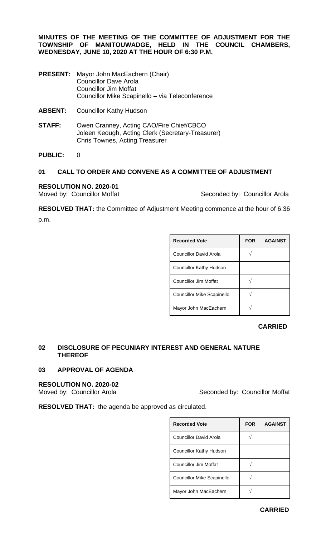**MINUTES OF THE MEETING OF THE COMMITTEE OF ADJUSTMENT FOR THE TOWNSHIP OF MANITOUWADGE, HELD IN THE COUNCIL CHAMBERS, WEDNESDAY, JUNE 10, 2020 AT THE HOUR OF 6:30 P.M.**

- **PRESENT:** Mayor John MacEachern (Chair) Councillor Dave Arola Councillor Jim Moffat Councillor Mike Scapinello – via Teleconference
- **ABSENT:** Councillor Kathy Hudson
- **STAFF:** Owen Cranney, Acting CAO/Fire Chief/CBCO Joleen Keough, Acting Clerk (Secretary-Treasurer) Chris Townes, Acting Treasurer
- **PUBLIC:** 0

# **01 CALL TO ORDER AND CONVENE AS A COMMITTEE OF ADJUSTMENT**

#### **RESOLUTION NO. 2020-01**

Moved by: Councillor Moffat Seconded by: Councillor Arola

**RESOLVED THAT:** the Committee of Adjustment Meeting commence at the hour of 6:36 p.m.

| <b>Recorded Vote</b>              | <b>FOR</b> | <b>AGAINST</b> |
|-----------------------------------|------------|----------------|
| Councillor David Arola            |            |                |
| Councillor Kathy Hudson           |            |                |
| Councillor Jim Moffat             |            |                |
| <b>Councillor Mike Scapinello</b> |            |                |
| Mayor John MacEachern             |            |                |

## **CARRIED**

# **02 DISCLOSURE OF PECUNIARY INTEREST AND GENERAL NATURE THEREOF**

## **03 APPROVAL OF AGENDA**

#### **RESOLUTION NO. 2020-02**

Moved by: Councillor Arola **Seconded by: Councillor Moffat** 

**RESOLVED THAT:** the agenda be approved as circulated.

| <b>Recorded Vote</b>              | <b>FOR</b> | <b>AGAINST</b> |
|-----------------------------------|------------|----------------|
| Councillor David Arola            |            |                |
| Councillor Kathy Hudson           |            |                |
| Councillor Jim Moffat             |            |                |
| <b>Councillor Mike Scapinello</b> |            |                |
| Mayor John MacEachern             |            |                |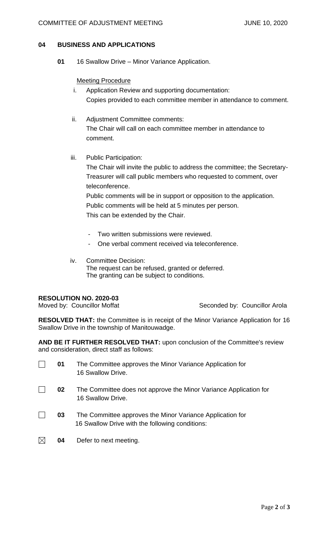## **04 BUSINESS AND APPLICATIONS**

**01** 16 Swallow Drive – Minor Variance Application.

## Meeting Procedure

- i. Application Review and supporting documentation: Copies provided to each committee member in attendance to comment.
- ii. Adjustment Committee comments: The Chair will call on each committee member in attendance to comment.
- iii. Public Participation:

The Chair will invite the public to address the committee; the Secretary-Treasurer will call public members who requested to comment, over teleconference.

Public comments will be in support or opposition to the application. Public comments will be held at 5 minutes per person.

This can be extended by the Chair.

- Two written submissions were reviewed.
- One verbal comment received via teleconference.

#### iv. Committee Decision: The request can be refused, granted or deferred. The granting can be subject to conditions.

## **RESOLUTION NO. 2020-03**

Moved by: Councillor Moffat Seconded by: Councillor Arola

**RESOLVED THAT:** the Committee is in receipt of the Minor Variance Application for 16 Swallow Drive in the township of Manitouwadge.

**AND BE IT FURTHER RESOLVED THAT:** upon conclusion of the Committee's review and consideration, direct staff as follows:

| 01 | The Committee approves the Minor Variance Application for<br>16 Swallow Drive.         |
|----|----------------------------------------------------------------------------------------|
| 02 | The Committee does not approve the Minor Variance Application for<br>16 Swallow Drive. |

- $\Box$ **03** The Committee approves the Minor Variance Application for 16 Swallow Drive with the following conditions:
- $\boxtimes$ **04** Defer to next meeting.